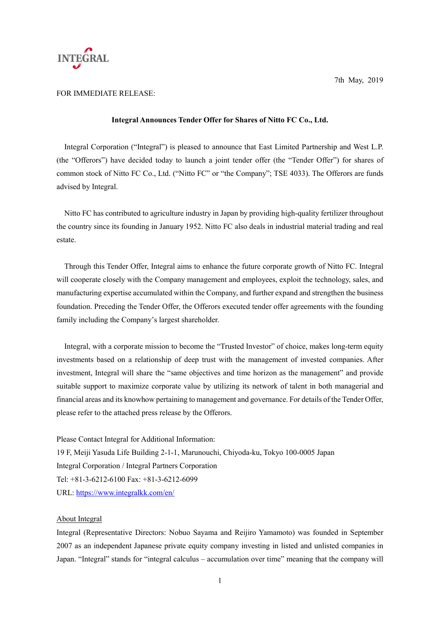

## FOR IMMEDIATE RELEASE:

#### **Integral Announces Tender Offer for Shares of Nitto FC Co., Ltd.**

Integral Corporation ("Integral") is pleased to announce that East Limited Partnership and West L.P. (the "Offerors") have decided today to launch a joint tender offer (the "Tender Offer") for shares of common stock of Nitto FC Co., Ltd. ("Nitto FC" or "the Company"; TSE 4033). The Offerors are funds advised by Integral.

Nitto FC has contributed to agriculture industry in Japan by providing high-quality fertilizer throughout the country since its founding in January 1952. Nitto FC also deals in industrial material trading and real estate.

Through this Tender Offer, Integral aims to enhance the future corporate growth of Nitto FC. Integral will cooperate closely with the Company management and employees, exploit the technology, sales, and manufacturing expertise accumulated within the Company, and further expand and strengthen the business foundation. Preceding the Tender Offer, the Offerors executed tender offer agreements with the founding family including the Company's largest shareholder.

Integral, with a corporate mission to become the "Trusted Investor" of choice, makes long-term equity investments based on a relationship of deep trust with the management of invested companies. After investment, Integral will share the "same objectives and time horizon as the management" and provide suitable support to maximize corporate value by utilizing its network of talent in both managerial and financial areas and its knowhow pertaining to management and governance. For details of the Tender Offer, please refer to the attached press release by the Offerors.

Please Contact Integral for Additional Information: 19 F, Meiji Yasuda Life Building 2-1-1, Marunouchi, Chiyoda-ku, Tokyo 100-0005 Japan Integral Corporation / Integral Partners Corporation Tel: +81-3-6212-6100 Fax: +81-3-6212-6099 URL:<https://www.integralkk.com/en/>

#### About Integral

Integral (Representative Directors: Nobuo Sayama and Reijiro Yamamoto) was founded in September 2007 as an independent Japanese private equity company investing in listed and unlisted companies in Japan. "Integral" stands for "integral calculus – accumulation over time" meaning that the company will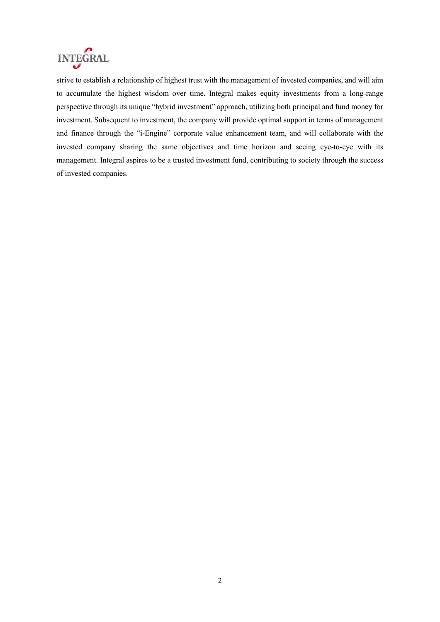

strive to establish a relationship of highest trust with the management of invested companies, and will aim to accumulate the highest wisdom over time. Integral makes equity investments from a long-range perspective through its unique "hybrid investment" approach, utilizing both principal and fund money for investment. Subsequent to investment, the company will provide optimal support in terms of management and finance through the "i-Engine" corporate value enhancement team, and will collaborate with the invested company sharing the same objectives and time horizon and seeing eye-to-eye with its management. Integral aspires to be a trusted investment fund, contributing to society through the success of invested companies.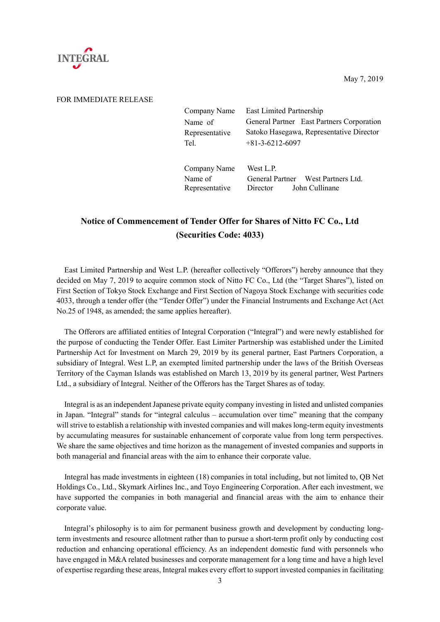

### FOR IMMEDIATE RELEASE

| Company Name   | East Limited Partnership                  |  |
|----------------|-------------------------------------------|--|
| Name of        | General Partner East Partners Corporation |  |
| Representative | Satoko Hasegawa, Representative Director  |  |
| Tel.           | $+81-3-6212-6097$                         |  |
|                |                                           |  |

Company Name West L.P. Name of Representative General Partner West Partners Ltd. Director John Cullinane

# **Notice of Commencement of Tender Offer for Shares of Nitto FC Co., Ltd (Securities Code: 4033)**

East Limited Partnership and West L.P. (hereafter collectively "Offerors") hereby announce that they decided on May 7, 2019 to acquire common stock of Nitto FC Co., Ltd (the "Target Shares"), listed on First Section of Tokyo Stock Exchange and First Section of Nagoya Stock Exchange with securities code 4033, through a tender offer (the "Tender Offer") under the Financial Instruments and Exchange Act (Act No.25 of 1948, as amended; the same applies hereafter).

The Offerors are affiliated entities of Integral Corporation ("Integral") and were newly established for the purpose of conducting the Tender Offer. East Limiter Partnership was established under the Limited Partnership Act for Investment on March 29, 2019 by its general partner, East Partners Corporation, a subsidiary of Integral. West L.P, an exempted limited partnership under the laws of the British Overseas Territory of the Cayman Islands was established on March 13, 2019 by its general partner, West Partners Ltd., a subsidiary of Integral. Neither of the Offerors has the Target Shares as of today.

Integral is as an independent Japanese private equity company investing in listed and unlisted companies in Japan. "Integral" stands for "integral calculus – accumulation over time" meaning that the company will strive to establish a relationship with invested companies and will makes long-term equity investments by accumulating measures for sustainable enhancement of corporate value from long term perspectives. We share the same objectives and time horizon as the management of invested companies and supports in both managerial and financial areas with the aim to enhance their corporate value.

Integral has made investments in eighteen (18) companies in total including, but not limited to, QB Net Holdings Co., Ltd., Skymark Airlines Inc., and Toyo Engineering Corporation. After each investment, we have supported the companies in both managerial and financial areas with the aim to enhance their corporate value.

Integral's philosophy is to aim for permanent business growth and development by conducting longterm investments and resource allotment rather than to pursue a short-term profit only by conducting cost reduction and enhancing operational efficiency. As an independent domestic fund with personnels who have engaged in M&A related businesses and corporate management for a long time and have a high level of expertise regarding these areas, Integral makes every effort to support invested companies in facilitating